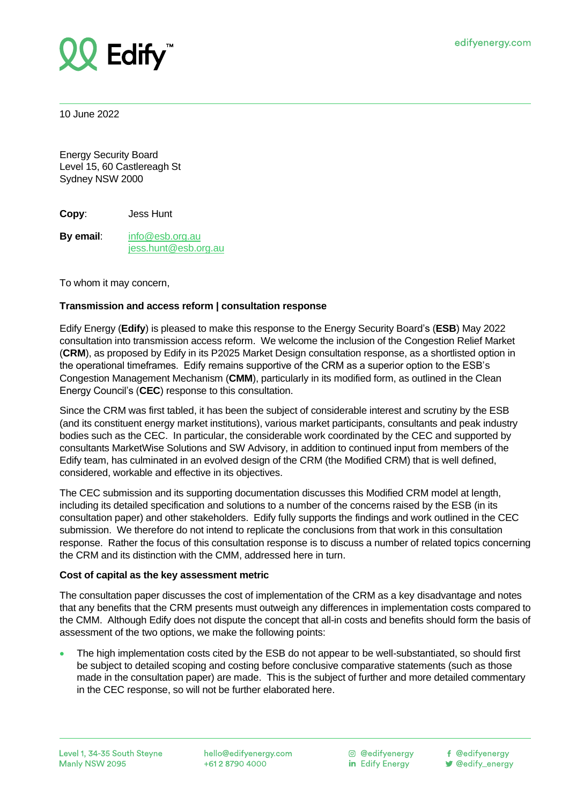

10 June 2022

Energy Security Board Level 15, 60 Castlereagh St Sydney NSW 2000

**Copy**: Jess Hunt

**By email**: [info@esb.org.au](mailto:info@esb.org.au) <jess.hunt@esb.org.au>

To whom it may concern,

# **Transmission and access reform | consultation response**

Edify Energy (**Edify**) is pleased to make this response to the Energy Security Board's (**ESB**) May 2022 consultation into transmission access reform. We welcome the inclusion of the Congestion Relief Market (**CRM**), as proposed by Edify in its P2025 Market Design consultation response, as a shortlisted option in the operational timeframes. Edify remains supportive of the CRM as a superior option to the ESB's Congestion Management Mechanism (**CMM**), particularly in its modified form, as outlined in the Clean Energy Council's (**CEC**) response to this consultation.

Since the CRM was first tabled, it has been the subject of considerable interest and scrutiny by the ESB (and its constituent energy market institutions), various market participants, consultants and peak industry bodies such as the CEC. In particular, the considerable work coordinated by the CEC and supported by consultants MarketWise Solutions and SW Advisory, in addition to continued input from members of the Edify team, has culminated in an evolved design of the CRM (the Modified CRM) that is well defined, considered, workable and effective in its objectives.

The CEC submission and its supporting documentation discusses this Modified CRM model at length, including its detailed specification and solutions to a number of the concerns raised by the ESB (in its consultation paper) and other stakeholders. Edify fully supports the findings and work outlined in the CEC submission. We therefore do not intend to replicate the conclusions from that work in this consultation response. Rather the focus of this consultation response is to discuss a number of related topics concerning the CRM and its distinction with the CMM, addressed here in turn.

### **Cost of capital as the key assessment metric**

The consultation paper discusses the cost of implementation of the CRM as a key disadvantage and notes that any benefits that the CRM presents must outweigh any differences in implementation costs compared to the CMM. Although Edify does not dispute the concept that all-in costs and benefits should form the basis of assessment of the two options, we make the following points:

• The high implementation costs cited by the ESB do not appear to be well-substantiated, so should first be subject to detailed scoping and costing before conclusive comparative statements (such as those made in the consultation paper) are made. This is the subject of further and more detailed commentary in the CEC response, so will not be further elaborated here.

hello@edifyenergy.com +61 2 8790 4000

© @edifvenergy in Edify Energy

f @edifyenergy

**V** @edify\_energy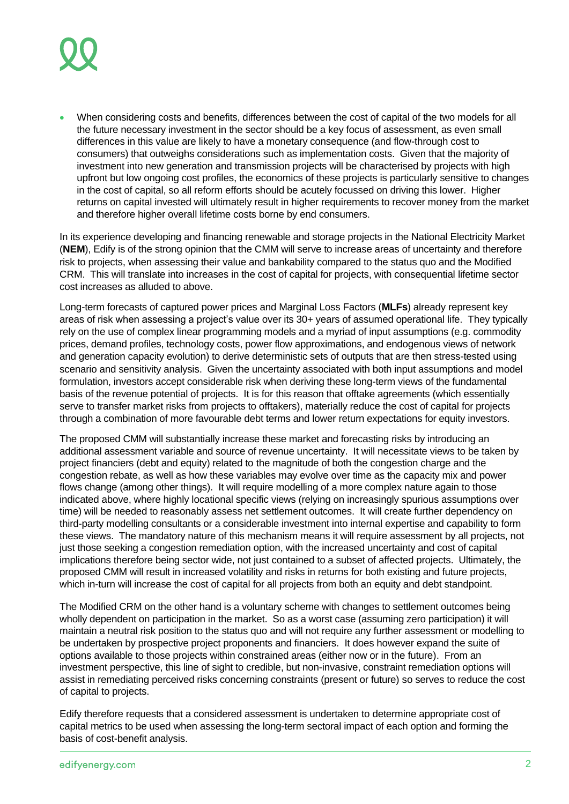

• When considering costs and benefits, differences between the cost of capital of the two models for all the future necessary investment in the sector should be a key focus of assessment, as even small differences in this value are likely to have a monetary consequence (and flow-through cost to consumers) that outweighs considerations such as implementation costs. Given that the majority of investment into new generation and transmission projects will be characterised by projects with high upfront but low ongoing cost profiles, the economics of these projects is particularly sensitive to changes in the cost of capital, so all reform efforts should be acutely focussed on driving this lower. Higher returns on capital invested will ultimately result in higher requirements to recover money from the market and therefore higher overall lifetime costs borne by end consumers.

In its experience developing and financing renewable and storage projects in the National Electricity Market (**NEM**), Edify is of the strong opinion that the CMM will serve to increase areas of uncertainty and therefore risk to projects, when assessing their value and bankability compared to the status quo and the Modified CRM. This will translate into increases in the cost of capital for projects, with consequential lifetime sector cost increases as alluded to above.

Long-term forecasts of captured power prices and Marginal Loss Factors (**MLFs**) already represent key areas of risk when assessing a project's value over its 30+ years of assumed operational life. They typically rely on the use of complex linear programming models and a myriad of input assumptions (e.g. commodity prices, demand profiles, technology costs, power flow approximations, and endogenous views of network and generation capacity evolution) to derive deterministic sets of outputs that are then stress-tested using scenario and sensitivity analysis. Given the uncertainty associated with both input assumptions and model formulation, investors accept considerable risk when deriving these long-term views of the fundamental basis of the revenue potential of projects. It is for this reason that offtake agreements (which essentially serve to transfer market risks from projects to offtakers), materially reduce the cost of capital for projects through a combination of more favourable debt terms and lower return expectations for equity investors.

The proposed CMM will substantially increase these market and forecasting risks by introducing an additional assessment variable and source of revenue uncertainty. It will necessitate views to be taken by project financiers (debt and equity) related to the magnitude of both the congestion charge and the congestion rebate, as well as how these variables may evolve over time as the capacity mix and power flows change (among other things). It will require modelling of a more complex nature again to those indicated above, where highly locational specific views (relying on increasingly spurious assumptions over time) will be needed to reasonably assess net settlement outcomes. It will create further dependency on third-party modelling consultants or a considerable investment into internal expertise and capability to form these views. The mandatory nature of this mechanism means it will require assessment by all projects, not just those seeking a congestion remediation option, with the increased uncertainty and cost of capital implications therefore being sector wide, not just contained to a subset of affected projects. Ultimately, the proposed CMM will result in increased volatility and risks in returns for both existing and future projects, which in-turn will increase the cost of capital for all projects from both an equity and debt standpoint.

The Modified CRM on the other hand is a voluntary scheme with changes to settlement outcomes being wholly dependent on participation in the market. So as a worst case (assuming zero participation) it will maintain a neutral risk position to the status quo and will not require any further assessment or modelling to be undertaken by prospective project proponents and financiers. It does however expand the suite of options available to those projects within constrained areas (either now or in the future). From an investment perspective, this line of sight to credible, but non-invasive, constraint remediation options will assist in remediating perceived risks concerning constraints (present or future) so serves to reduce the cost of capital to projects.

Edify therefore requests that a considered assessment is undertaken to determine appropriate cost of capital metrics to be used when assessing the long-term sectoral impact of each option and forming the basis of cost-benefit analysis.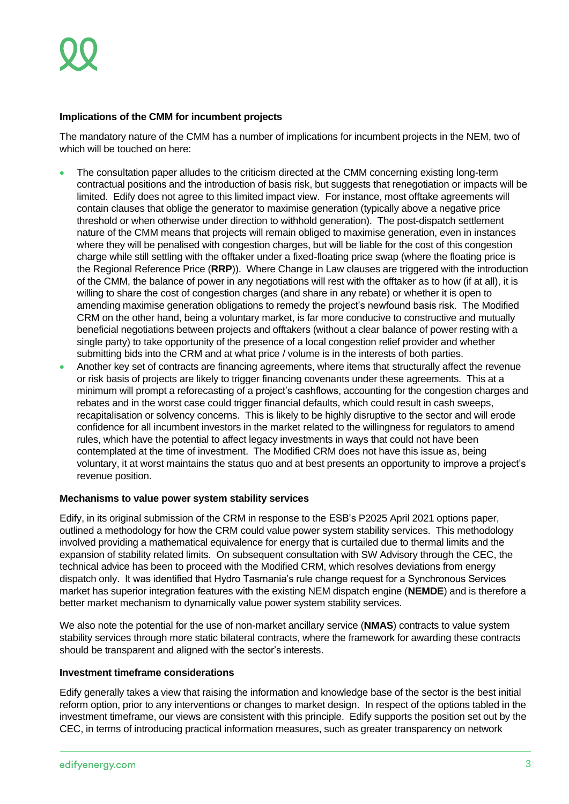# **Implications of the CMM for incumbent projects**

The mandatory nature of the CMM has a number of implications for incumbent projects in the NEM, two of which will be touched on here:

- The consultation paper alludes to the criticism directed at the CMM concerning existing long-term contractual positions and the introduction of basis risk, but suggests that renegotiation or impacts will be limited. Edify does not agree to this limited impact view. For instance, most offtake agreements will contain clauses that oblige the generator to maximise generation (typically above a negative price threshold or when otherwise under direction to withhold generation). The post-dispatch settlement nature of the CMM means that projects will remain obliged to maximise generation, even in instances where they will be penalised with congestion charges, but will be liable for the cost of this congestion charge while still settling with the offtaker under a fixed-floating price swap (where the floating price is the Regional Reference Price (**RRP**)). Where Change in Law clauses are triggered with the introduction of the CMM, the balance of power in any negotiations will rest with the offtaker as to how (if at all), it is willing to share the cost of congestion charges (and share in any rebate) or whether it is open to amending maximise generation obligations to remedy the project's newfound basis risk. The Modified CRM on the other hand, being a voluntary market, is far more conducive to constructive and mutually beneficial negotiations between projects and offtakers (without a clear balance of power resting with a single party) to take opportunity of the presence of a local congestion relief provider and whether submitting bids into the CRM and at what price / volume is in the interests of both parties.
- Another key set of contracts are financing agreements, where items that structurally affect the revenue or risk basis of projects are likely to trigger financing covenants under these agreements. This at a minimum will prompt a reforecasting of a project's cashflows, accounting for the congestion charges and rebates and in the worst case could trigger financial defaults, which could result in cash sweeps, recapitalisation or solvency concerns. This is likely to be highly disruptive to the sector and will erode confidence for all incumbent investors in the market related to the willingness for regulators to amend rules, which have the potential to affect legacy investments in ways that could not have been contemplated at the time of investment. The Modified CRM does not have this issue as, being voluntary, it at worst maintains the status quo and at best presents an opportunity to improve a project's revenue position.

# **Mechanisms to value power system stability services**

Edify, in its original submission of the CRM in response to the ESB's P2025 April 2021 options paper, outlined a methodology for how the CRM could value power system stability services. This methodology involved providing a mathematical equivalence for energy that is curtailed due to thermal limits and the expansion of stability related limits. On subsequent consultation with SW Advisory through the CEC, the technical advice has been to proceed with the Modified CRM, which resolves deviations from energy dispatch only. It was identified that Hydro Tasmania's rule change request for a Synchronous Services market has superior integration features with the existing NEM dispatch engine (**NEMDE**) and is therefore a better market mechanism to dynamically value power system stability services.

We also note the potential for the use of non-market ancillary service (**NMAS**) contracts to value system stability services through more static bilateral contracts, where the framework for awarding these contracts should be transparent and aligned with the sector's interests.

# **Investment timeframe considerations**

Edify generally takes a view that raising the information and knowledge base of the sector is the best initial reform option, prior to any interventions or changes to market design. In respect of the options tabled in the investment timeframe, our views are consistent with this principle. Edify supports the position set out by the CEC, in terms of introducing practical information measures, such as greater transparency on network